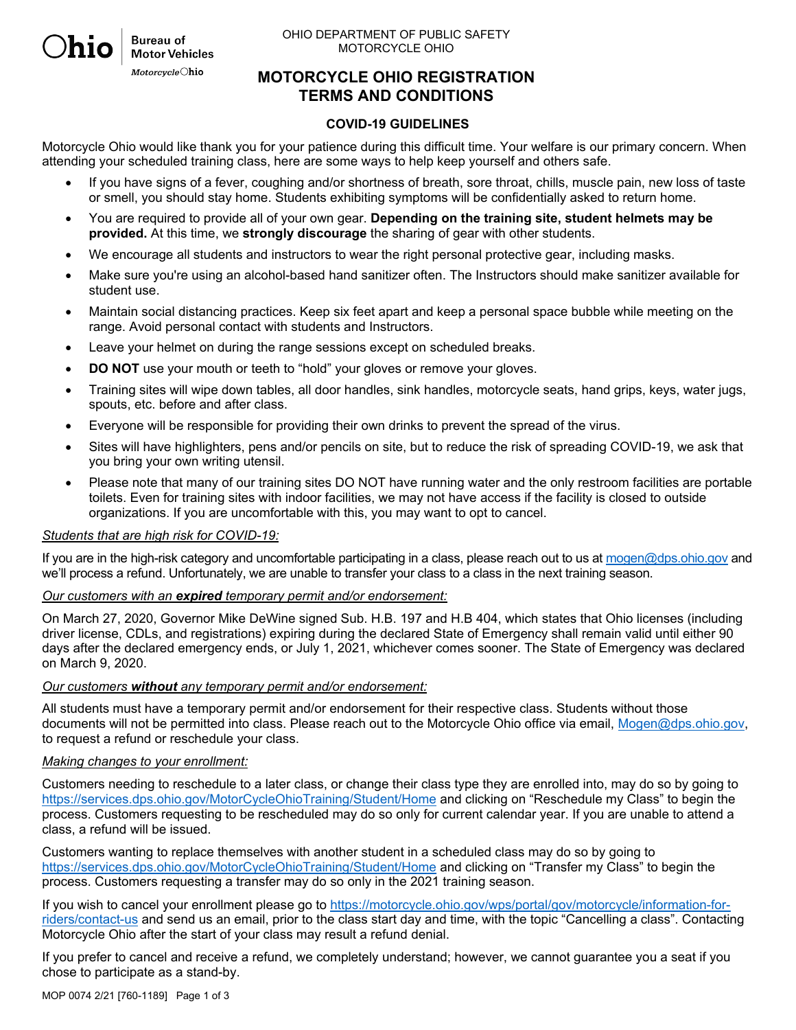OHIO DEPARTMENT OF PUBLIC SAFETY MOTORCYCLE OHIO

**MOTORCYCLE OHIO REGISTRATION TERMS AND CONDITIONS**

#### **COVID-19 GUIDELINES**

Motorcycle Ohio would like thank you for your patience during this difficult time. Your welfare is our primary concern. When attending your scheduled training class, here are some ways to help keep yourself and others safe.

- If you have signs of a fever, coughing and/or shortness of breath, sore throat, chills, muscle pain, new loss of taste or smell, you should stay home. Students exhibiting symptoms will be confidentially asked to return home.
- You are required to provide all of your own gear. **Depending on the training site, student helmets may be provided.** At this time, we **strongly discourage** the sharing of gear with other students.
- We encourage all students and instructors to wear the right personal protective gear, including masks.
- Make sure you're using an alcohol-based hand sanitizer often. The Instructors should make sanitizer available for student use.
- Maintain social distancing practices. Keep six feet apart and keep a personal space bubble while meeting on the range. Avoid personal contact with students and Instructors.
- Leave your helmet on during the range sessions except on scheduled breaks.
- **DO NOT** use your mouth or teeth to "hold" your gloves or remove your gloves.
- Training sites will wipe down tables, all door handles, sink handles, motorcycle seats, hand grips, keys, water jugs, spouts, etc. before and after class.
- Everyone will be responsible for providing their own drinks to prevent the spread of the virus.
- Sites will have highlighters, pens and/or pencils on site, but to reduce the risk of spreading COVID-19, we ask that you bring your own writing utensil.
- Please note that many of our training sites DO NOT have running water and the only restroom facilities are portable toilets. Even for training sites with indoor facilities, we may not have access if the facility is closed to outside organizations. If you are uncomfortable with this, you may want to opt to cancel.

#### *Students that are high risk for COVID-19:*

**Bureau of Motor Vehicles** MotorcycleOhio

If you are in the high-risk category and uncomfortable participating in a class, please reach out to us at mogen@dps.ohio.gov and we'll process a refund. Unfortunately, we are unable to transfer your class to a class in the next training season.

#### *Our customers with an expired temporary permit and/or endorsement:*

On March 27, 2020, Governor Mike DeWine signed Sub. H.B. 197 and H.B 404, which states that Ohio licenses (including driver license, CDLs, and registrations) expiring during the declared State of Emergency shall remain valid until either 90 days after the declared emergency ends, or July 1, 2021, whichever comes sooner. The State of Emergency was declared on March 9, 2020.

#### *Our customers without any temporary permit and/or endorsement:*

All students must have a temporary permit and/or endorsement for their respective class. Students without those documents will not be permitted into class. Please reach out to the Motorcycle Ohio office via email, Mogen@dps.ohio.gov, to request a refund or reschedule your class.

#### *Making changes to your enrollment:*

Customers needing to reschedule to a later class, or change their class type they are enrolled into, may do so by going to https://services.dps.ohio.gov/MotorCycleOhioTraining/Student/Home and clicking on "Reschedule my Class" to begin the process. Customers requesting to be rescheduled may do so only for current calendar year. If you are unable to attend a class, a refund will be issued.

Customers wanting to replace themselves with another student in a scheduled class may do so by going to https://services.dps.ohio.gov/MotorCycleOhioTraining/Student/Home and clicking on "Transfer my Class" to begin the process. Customers requesting a transfer may do so only in the 2021 training season.

If you wish to cancel your enrollment please go to https://motorcycle.ohio.gov/wps/portal/gov/motorcycle/information-forriders/contact-us and send us an email, prior to the class start day and time, with the topic "Cancelling a class". Contacting Motorcycle Ohio after the start of your class may result a refund denial.

If you prefer to cancel and receive a refund, we completely understand; however, we cannot guarantee you a seat if you chose to participate as a stand-by.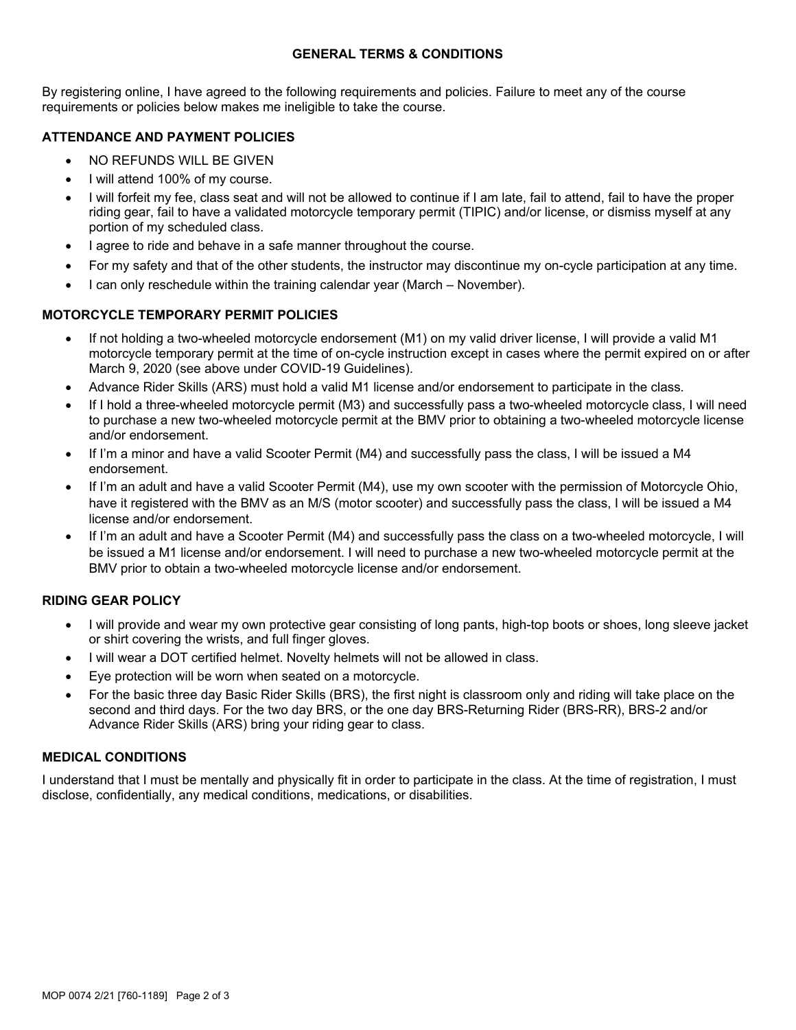## **GENERAL TERMS & CONDITIONS**

By registering online, I have agreed to the following requirements and policies. Failure to meet any of the course requirements or policies below makes me ineligible to take the course.

# **ATTENDANCE AND PAYMENT POLICIES**

- NO REFUNDS WILL BE GIVEN
- I will attend 100% of my course.
- I will forfeit my fee, class seat and will not be allowed to continue if I am late, fail to attend, fail to have the proper riding gear, fail to have a validated motorcycle temporary permit (TIPIC) and/or license, or dismiss myself at any portion of my scheduled class.
- I agree to ride and behave in a safe manner throughout the course.
- For my safety and that of the other students, the instructor may discontinue my on-cycle participation at any time.
- I can only reschedule within the training calendar year (March November).

## **MOTORCYCLE TEMPORARY PERMIT POLICIES**

- If not holding a two-wheeled motorcycle endorsement (M1) on my valid driver license, I will provide a valid M1 motorcycle temporary permit at the time of on-cycle instruction except in cases where the permit expired on or after March 9, 2020 (see above under COVID-19 Guidelines).
- Advance Rider Skills (ARS) must hold a valid M1 license and/or endorsement to participate in the class.
- If I hold a three-wheeled motorcycle permit (M3) and successfully pass a two-wheeled motorcycle class, I will need to purchase a new two-wheeled motorcycle permit at the BMV prior to obtaining a two-wheeled motorcycle license and/or endorsement.
- If I'm a minor and have a valid Scooter Permit (M4) and successfully pass the class, I will be issued a M4 endorsement.
- If I'm an adult and have a valid Scooter Permit (M4), use my own scooter with the permission of Motorcycle Ohio, have it registered with the BMV as an M/S (motor scooter) and successfully pass the class, I will be issued a M4 license and/or endorsement.
- If I'm an adult and have a Scooter Permit (M4) and successfully pass the class on a two-wheeled motorcycle, I will be issued a M1 license and/or endorsement. I will need to purchase a new two-wheeled motorcycle permit at the BMV prior to obtain a two-wheeled motorcycle license and/or endorsement.

## **RIDING GEAR POLICY**

- I will provide and wear my own protective gear consisting of long pants, high-top boots or shoes, long sleeve jacket or shirt covering the wrists, and full finger gloves.
- I will wear a DOT certified helmet. Novelty helmets will not be allowed in class.
- Eye protection will be worn when seated on a motorcycle.
- For the basic three day Basic Rider Skills (BRS), the first night is classroom only and riding will take place on the second and third days. For the two day BRS, or the one day BRS-Returning Rider (BRS-RR), BRS-2 and/or Advance Rider Skills (ARS) bring your riding gear to class.

#### **MEDICAL CONDITIONS**

I understand that I must be mentally and physically fit in order to participate in the class. At the time of registration, I must disclose, confidentially, any medical conditions, medications, or disabilities.